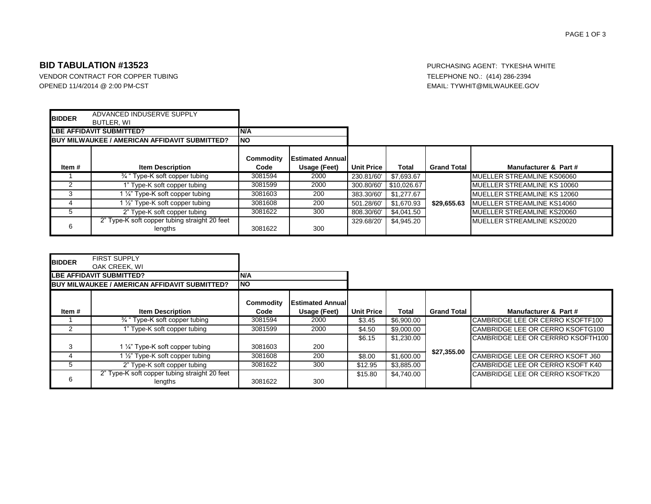### PAGE 1 OF 3

## **BID TABULATION #13523** PURCHASING AGENT: TYKESHA WHITE

VENDOR CONTRACT FOR COPPER TUBING TELEPHONE NO.: (414) 286-2394 OPENED 11/4/2014 @ 2:00 PM-CST **EMAIL: TYWHIT@MILWAUKEE.GOV** 

| <b>BIDDER</b>                                        | ADVANCED INDUSERVE SUPPLY                                |                   |                                         |                   |             |                    |                                     |
|------------------------------------------------------|----------------------------------------------------------|-------------------|-----------------------------------------|-------------------|-------------|--------------------|-------------------------------------|
| BUTLER, WI                                           |                                                          | IN/A              |                                         |                   |             |                    |                                     |
| LBE AFFIDAVIT SUBMITTED?                             |                                                          |                   |                                         |                   |             |                    |                                     |
| <b>BUY MILWAUKEE / AMERICAN AFFIDAVIT SUBMITTED?</b> |                                                          | <b>INO</b>        |                                         |                   |             |                    |                                     |
| Item#                                                | <b>Item Description</b>                                  | Commodity<br>Code | <b>Estimated Annual</b><br>Usage (Feet) | <b>Unit Price</b> | Total       | <b>Grand Total</b> | Manufacturer & Part#                |
|                                                      |                                                          |                   |                                         |                   |             |                    |                                     |
|                                                      | <sup>3/4</sup> " Type-K soft copper tubing               | 3081594           | 2000                                    | 230.81/60         | \$7,693.67  |                    | MUELLER STREAMLINE KS06060          |
|                                                      | 1" Type-K soft copper tubing                             | 3081599           | 2000                                    | 300.80/60         | \$10,026.67 |                    | MUELLER STREAMLINE KS 10060         |
| 3                                                    | 1 1/4" Type-K soft copper tubing                         | 3081603           | 200                                     | 383.30/60         | \$1.277.67  |                    | <b>IMUELLER STREAMLINE KS 12060</b> |
|                                                      | 1 1/2" Type-K soft copper tubing                         | 3081608           | 200                                     | 501.28/60         | \$1,670.93  | \$29.655.63        | MUELLER STREAMLINE KS14060          |
| 5.                                                   | 2" Type-K soft copper tubing                             | 3081622           | 300                                     | 808.30/60         | \$4,041.50  |                    | MUELLER STREAMLINE KS20060          |
| 6                                                    | 2" Type-K soft copper tubing straight 20 feet<br>lengths | 3081622           | 300                                     | 329.68/20         | \$4.945.20  |                    | MUELLER STREAMLINE KS20020          |

| <b>BIDDER</b>                                        | <b>FIRST SUPPLY</b><br>OAK CREEK. WI                     |                   |                                           |                   |            |                    |                                         |
|------------------------------------------------------|----------------------------------------------------------|-------------------|-------------------------------------------|-------------------|------------|--------------------|-----------------------------------------|
| <b>LBE AFFIDAVIT SUBMITTED?</b>                      |                                                          | <b>N/A</b>        |                                           |                   |            |                    |                                         |
| <b>BUY MILWAUKEE / AMERICAN AFFIDAVIT SUBMITTED?</b> |                                                          | <b>INO</b>        |                                           |                   |            |                    |                                         |
| Item #                                               | <b>Item Description</b>                                  | Commodity<br>Code | <b>IEstimated Annuall</b><br>Usage (Feet) | <b>Unit Price</b> | Total      | <b>Grand Total</b> | Manufacturer & Part#                    |
|                                                      | <sup>3</sup> / <sub>4</sub> " Type-K soft copper tubing  | 3081594           | 2000                                      | \$3.45            | \$6,900.00 |                    | <b>CAMBRIDGE LEE OR CERRO KSOFTF100</b> |
|                                                      | 1" Type-K soft copper tubing                             | 3081599           | 2000                                      | \$4.50            | \$9,000.00 |                    | CAMBRIDGE LEE OR CERRO KSOFTG100        |
|                                                      |                                                          |                   |                                           | \$6.15            | \$1,230,00 |                    | CAMBRIDGE LEE OR CERRRO KSOFTH100       |
| 3                                                    | 1 1/4" Type-K soft copper tubing                         | 3081603           | 200                                       |                   |            | \$27,355.00        |                                         |
|                                                      | 1 1/2" Type-K soft copper tubing                         | 3081608           | 200                                       | \$8.00            | \$1,600.00 |                    | CAMBRIDGE LEE OR CERRO KSOFT J60        |
|                                                      | 2" Type-K soft copper tubing                             | 3081622           | 300                                       | \$12.95           | \$3,885.00 |                    | CAMBRIDGE LEE OR CERRO KSOFT K40        |
| 6                                                    | 2" Type-K soft copper tubing straight 20 feet<br>lengths | 3081622           | 300                                       | \$15.80           | \$4.740.00 |                    | CAMBRIDGE LEE OR CERRO KSOFTK20         |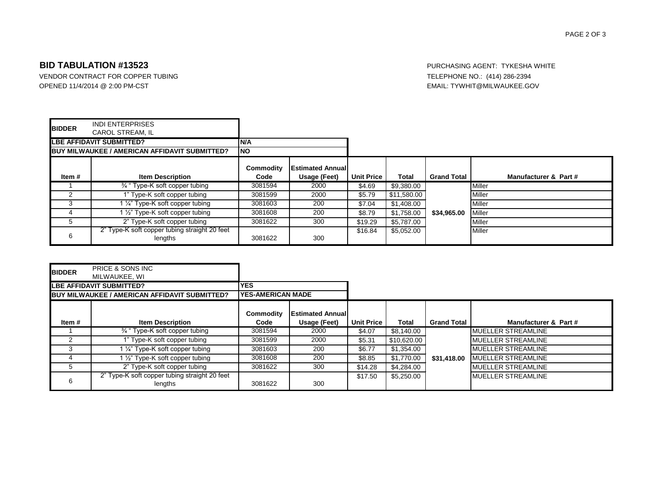#### PAGE 2 OF 3

## **BID TABULATION #13523** PURCHASING AGENT: TYKESHA WHITE

VENDOR CONTRACT FOR COPPER TUBING TELEPHONE NO.: (414) 286-2394 OPENED 11/4/2014 @ 2:00 PM-CST **EMAIL: TYWHIT@MILWAUKEE.GOV** 

| <b>BIDDER</b>                                 | <b>INDI ENTERPRISES</b><br><b>CAROL STREAM. IL</b>       |                   |                                           |                   |             |                    |                       |
|-----------------------------------------------|----------------------------------------------------------|-------------------|-------------------------------------------|-------------------|-------------|--------------------|-----------------------|
| <b>LBE AFFIDAVIT SUBMITTED?</b>               |                                                          | N/A               |                                           |                   |             |                    |                       |
| BUY MILWAUKEE / AMERICAN AFFIDAVIT SUBMITTED? |                                                          | <b>NO</b>         |                                           |                   |             |                    |                       |
| Item #                                        | <b>Item Description</b>                                  | Commodity<br>Code | <b>IEstimated Annuall</b><br>Usage (Feet) | <b>Unit Price</b> | Total       | <b>Grand Total</b> | Manufacturer & Part # |
|                                               | <sup>3/4</sup> "Type-K soft copper tubing                | 3081594           | 2000                                      | \$4.69            | \$9,380.00  |                    | Miller                |
|                                               | 1" Type-K soft copper tubing                             | 3081599           | 2000                                      | \$5.79            | \$11,580.00 |                    | Miller                |
|                                               | 1 1/4" Type-K soft copper tubing                         | 3081603           | 200                                       | \$7.04            | \$1,408.00  |                    | Miller                |
|                                               | 1 1/2" Type-K soft copper tubing                         | 3081608           | 200                                       | \$8.79            | \$1,758.00  | \$34.965.00        | Miller                |
| G.                                            | 2" Type-K soft copper tubing                             | 3081622           | 300                                       | \$19.29           | \$5,787.00  |                    | Miller                |
| 6                                             | 2" Type-K soft copper tubing straight 20 feet<br>lengths | 3081622           | 300                                       | \$16.84           | \$5.052.00  |                    | <b>Miller</b>         |

| <b>BIDDER</b>                                 | <b>PRICE &amp; SONS INC</b>                              |                           |                                           |                   |             |                    |                            |
|-----------------------------------------------|----------------------------------------------------------|---------------------------|-------------------------------------------|-------------------|-------------|--------------------|----------------------------|
|                                               | MILWAUKEE, WI                                            |                           |                                           |                   |             |                    |                            |
| LBE AFFIDAVIT SUBMITTED?                      |                                                          | <b>YES</b>                |                                           |                   |             |                    |                            |
| BUY MILWAUKEE / AMERICAN AFFIDAVIT SUBMITTED? |                                                          | <b>IYES-AMERICAN MADE</b> |                                           |                   |             |                    |                            |
| Item #                                        | <b>Item Description</b>                                  | Commodity<br>Code         | <b>IEstimated Annuall</b><br>Usage (Feet) | <b>Unit Price</b> | Total       | <b>Grand Total</b> | Manufacturer & Part #      |
|                                               | <sup>3/4</sup> " Type-K soft copper tubing               | 3081594                   | 2000                                      | \$4.07            | \$8,140.00  |                    | <b>IMUELLER STREAMLINE</b> |
|                                               | 1" Type-K soft copper tubing                             | 3081599                   | 2000                                      | \$5.31            | \$10,620.00 |                    | <b>IMUELLER STREAMLINE</b> |
|                                               | 1 1/4" Type-K soft copper tubing                         | 3081603                   | 200                                       | \$6.77            | \$1,354.00  |                    | <b>IMUELLER STREAMLINE</b> |
|                                               | 1 1/2" Type-K soft copper tubing                         | 3081608                   | 200                                       | \$8.85            | \$1,770.00  | \$31,418.00        | <b>IMUELLER STREAMLINE</b> |
|                                               | 2" Type-K soft copper tubing                             | 3081622                   | 300                                       | \$14.28           | \$4,284.00  |                    | <b>IMUELLER STREAMLINE</b> |
|                                               | 2" Type-K soft copper tubing straight 20 feet<br>lengths | 3081622                   | 300                                       | \$17.50           | \$5,250.00  |                    | <b>IMUELLER STREAMLINE</b> |